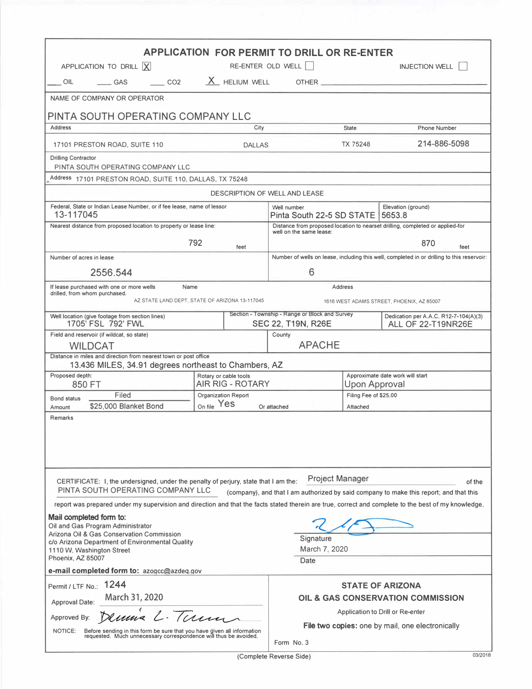| <b>APPLICATION FOR PERMIT TO DRILL OR RE-ENTER</b><br>APPLICATION TO DRILL $\overline{X}$<br>RE-ENTER OLD WELL<br><b>INJECTION WELL</b>                                                                                                                |                                                  |                                                                                                          |                                                   |                                                                    |  |
|--------------------------------------------------------------------------------------------------------------------------------------------------------------------------------------------------------------------------------------------------------|--------------------------------------------------|----------------------------------------------------------------------------------------------------------|---------------------------------------------------|--------------------------------------------------------------------|--|
| CO <sub>2</sub><br>OIL<br>GAS                                                                                                                                                                                                                          | X HELIUM WELL                                    |                                                                                                          |                                                   |                                                                    |  |
| NAME OF COMPANY OR OPERATOR                                                                                                                                                                                                                            |                                                  |                                                                                                          |                                                   |                                                                    |  |
|                                                                                                                                                                                                                                                        |                                                  |                                                                                                          |                                                   |                                                                    |  |
| PINTA SOUTH OPERATING COMPANY LLC<br>Address                                                                                                                                                                                                           | City                                             |                                                                                                          | <b>State</b>                                      | <b>Phone Number</b>                                                |  |
|                                                                                                                                                                                                                                                        |                                                  |                                                                                                          | <b>TX 75248</b>                                   | 214-886-5098                                                       |  |
| 17101 PRESTON ROAD, SUITE 110<br><b>Drilling Contractor</b><br>PINTA SOUTH OPERATING COMPANY LLC                                                                                                                                                       | <b>DALLAS</b>                                    |                                                                                                          |                                                   |                                                                    |  |
| Address 17101 PRESTON ROAD, SUITE 110, DALLAS, TX 75248                                                                                                                                                                                                |                                                  |                                                                                                          |                                                   |                                                                    |  |
|                                                                                                                                                                                                                                                        |                                                  | <b>DESCRIPTION OF WELL AND LEASE</b>                                                                     |                                                   |                                                                    |  |
| Federal, State or Indian Lease Number, or if fee lease, name of lessor<br>13-117045                                                                                                                                                                    |                                                  | Elevation (ground)<br>Well number<br>Pinta South 22-5 SD STATE<br>5653.8                                 |                                                   |                                                                    |  |
| Nearest distance from proposed location to property or lease line:                                                                                                                                                                                     |                                                  | Distance from proposed location to nearset drilling, completed or applied-for<br>well on the same lease: |                                                   |                                                                    |  |
| 792                                                                                                                                                                                                                                                    |                                                  | 870                                                                                                      |                                                   |                                                                    |  |
| feet<br>Number of acres in lease                                                                                                                                                                                                                       |                                                  | feet<br>Number of wells on lease, including this well, completed in or drilling to this reservoir:       |                                                   |                                                                    |  |
| 2556.544                                                                                                                                                                                                                                               |                                                  | 6                                                                                                        |                                                   |                                                                    |  |
| If lease purchased with one or more wells<br>Name                                                                                                                                                                                                      |                                                  |                                                                                                          | Address                                           |                                                                    |  |
| drilled, from whom purchased.<br>AZ STATE LAND DEPT, STATE OF ARIZONA 13-117045<br>1616 WEST ADAMS STREET, PHOENIX, AZ 85007                                                                                                                           |                                                  |                                                                                                          |                                                   |                                                                    |  |
| Well location (give footage from section lines)<br>1705' FSL 792' FWL                                                                                                                                                                                  |                                                  | Section - Township - Range or Block and Survey<br>SEC 22, T19N, R26E                                     |                                                   | Dedication per A.A.C. R12-7-104(A)(3)<br><b>ALL OF 22-T19NR26E</b> |  |
| Field and reservoir (if wildcat, so state)                                                                                                                                                                                                             |                                                  | County                                                                                                   |                                                   |                                                                    |  |
| <b>WILDCAT</b><br>Distance in miles and direction from nearest town or post office                                                                                                                                                                     |                                                  | <b>APACHE</b>                                                                                            |                                                   |                                                                    |  |
| 13.436 MILES, 34.91 degrees northeast to Chambers, AZ                                                                                                                                                                                                  |                                                  |                                                                                                          |                                                   |                                                                    |  |
| Proposed depth:<br>850 FT                                                                                                                                                                                                                              | Rotary or cable tools<br><b>AIR RIG - ROTARY</b> |                                                                                                          | Approximate date work will start<br>Upon Approval |                                                                    |  |
| Filed<br><b>Bond status</b>                                                                                                                                                                                                                            | <b>Organization Report</b>                       |                                                                                                          | Filing Fee of \$25.00                             |                                                                    |  |
| \$25,000 Blanket Bond<br>Amount                                                                                                                                                                                                                        | <sub>On file</sub> Yes                           | Or attached                                                                                              | Attached                                          |                                                                    |  |
| Remarks                                                                                                                                                                                                                                                |                                                  |                                                                                                          |                                                   |                                                                    |  |
| <b>Project Manager</b><br>CERTIFICATE: I, the undersigned, under the penalty of perjury, state that I am the:<br>of the<br>PINTA SOUTH OPERATING COMPANY LLC<br>(company), and that I am authorized by said company to make this report; and that this |                                                  |                                                                                                          |                                                   |                                                                    |  |
| report was prepared under my supervision and direction and that the facts stated therein are true, correct and complete to the best of my knowledge.                                                                                                   |                                                  |                                                                                                          |                                                   |                                                                    |  |
| Mail completed form to:                                                                                                                                                                                                                                |                                                  |                                                                                                          |                                                   |                                                                    |  |
| Oil and Gas Program Administrator<br>Arizona Oil & Gas Conservation Commission                                                                                                                                                                         |                                                  | Signature                                                                                                |                                                   |                                                                    |  |
| c/o Arizona Department of Environmental Quality<br>1110 W. Washington Street                                                                                                                                                                           |                                                  |                                                                                                          | March 7, 2020                                     |                                                                    |  |
| Phoenix, AZ 85007                                                                                                                                                                                                                                      |                                                  | Date                                                                                                     |                                                   |                                                                    |  |
| e-mail completed form to: azogcc@azdeq.gov                                                                                                                                                                                                             |                                                  |                                                                                                          |                                                   |                                                                    |  |
| Permit / LTF No.: 1244                                                                                                                                                                                                                                 |                                                  |                                                                                                          |                                                   | <b>STATE OF ARIZONA</b>                                            |  |
| March 31, 2020<br>Approval Date:                                                                                                                                                                                                                       |                                                  | OIL & GAS CONSERVATION COMMISSION                                                                        |                                                   |                                                                    |  |
| Dennis L. Term<br>Approved By:                                                                                                                                                                                                                         |                                                  |                                                                                                          |                                                   | Application to Drill or Re-enter                                   |  |
| Before sending in this form be sure that you have given all information requested. Much unnecessary correspondence will thus be avoided.<br>NOTICE:                                                                                                    |                                                  | <b>File two copies:</b> one by mail, one electronically<br>Form No. 3                                    |                                                   |                                                                    |  |

(Complete Reverse Side) 03/2018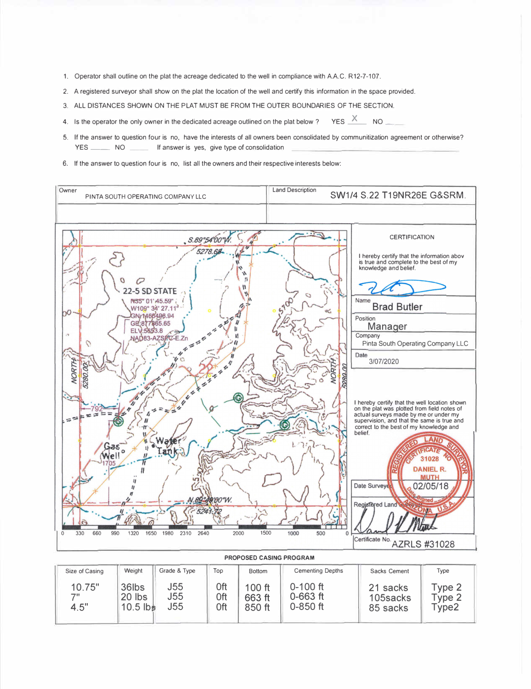- 1. Operator shall outline on the plat the acreage dedicated to the well in compliance with AA.C. R12-7-107.
- 2. A registered surveyor shall show on the plat the location of the well and certify this information in the space provided.
- 3. ALL DISTANCES SHOWN ON THE PLAT MUST BE FROM THE OUTER BOUNDARIES OF THE SECTION.
- 4. Is the operator the only owner in the dedicated acreage outlined on the plat below ? YES  $\frac{X}{Y}$  NO
- 5. If the answer to question four is no, have the interests of all owners been consolidated by communitization agreement or otherwise? YES \_\_\_\_\_\_\_\_ NO \_\_\_\_\_\_\_ If answer is yes, give type of consolidation
- 6. If the answer to question four is no, list all the owners and their respective interests below:



| J55<br>$0 - 100$ ft<br>0ft<br>10.75"<br>36lbs<br>100 ft<br>21 sacks<br>J55<br>$0 - 663$ ft<br>0ft<br>フリ<br><b>20 lbs</b><br>663 ft<br>105sacks<br>J <sub>55</sub><br>0ft<br>$0 - 850$ ft<br>4.5"<br>$10.5$ lbs<br>850 ft<br>85 sacks | Type 2<br>Type 2<br>Type2 |  |
|--------------------------------------------------------------------------------------------------------------------------------------------------------------------------------------------------------------------------------------|---------------------------|--|